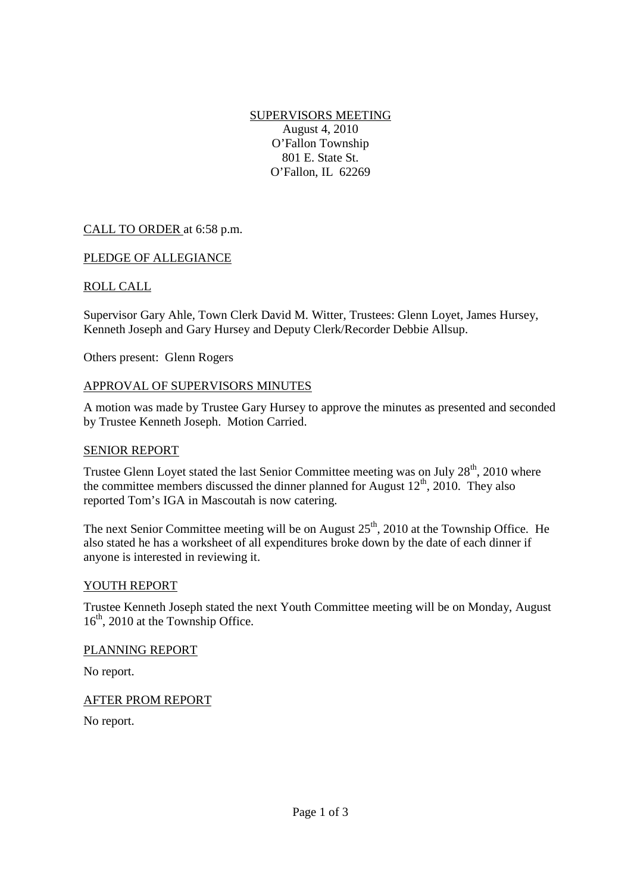SUPERVISORS MEETING August 4, 2010 O'Fallon Township 801 E. State St. O'Fallon, IL 62269

# CALL TO ORDER at 6:58 p.m.

## PLEDGE OF ALLEGIANCE

## ROLL CALL

Supervisor Gary Ahle, Town Clerk David M. Witter, Trustees: Glenn Loyet, James Hursey, Kenneth Joseph and Gary Hursey and Deputy Clerk/Recorder Debbie Allsup.

Others present: Glenn Rogers

### APPROVAL OF SUPERVISORS MINUTES

A motion was made by Trustee Gary Hursey to approve the minutes as presented and seconded by Trustee Kenneth Joseph. Motion Carried.

#### SENIOR REPORT

Trustee Glenn Loyet stated the last Senior Committee meeting was on July  $28<sup>th</sup>$ , 2010 where the committee members discussed the dinner planned for August  $12<sup>th</sup>$ , 2010. They also reported Tom's IGA in Mascoutah is now catering.

The next Senior Committee meeting will be on August  $25<sup>th</sup>$ , 2010 at the Township Office. He also stated he has a worksheet of all expenditures broke down by the date of each dinner if anyone is interested in reviewing it.

### YOUTH REPORT

Trustee Kenneth Joseph stated the next Youth Committee meeting will be on Monday, August  $16<sup>th</sup>$ , 2010 at the Township Office.

### PLANNING REPORT

No report.

AFTER PROM REPORT

No report.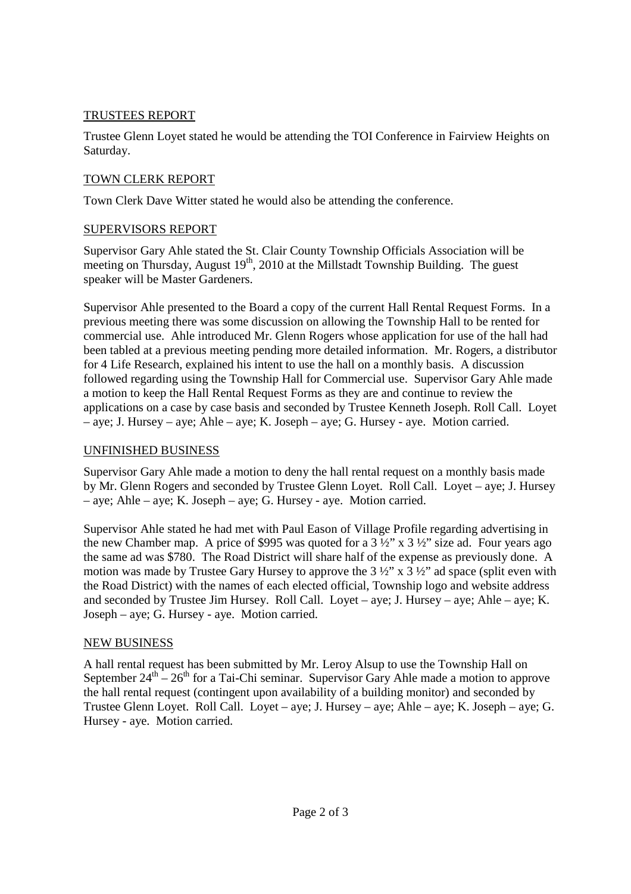## TRUSTEES REPORT

Trustee Glenn Loyet stated he would be attending the TOI Conference in Fairview Heights on Saturday.

# TOWN CLERK REPORT

Town Clerk Dave Witter stated he would also be attending the conference.

# SUPERVISORS REPORT

Supervisor Gary Ahle stated the St. Clair County Township Officials Association will be meeting on Thursday, August 19<sup>th</sup>, 2010 at the Millstadt Township Building. The guest speaker will be Master Gardeners.

Supervisor Ahle presented to the Board a copy of the current Hall Rental Request Forms. In a previous meeting there was some discussion on allowing the Township Hall to be rented for commercial use. Ahle introduced Mr. Glenn Rogers whose application for use of the hall had been tabled at a previous meeting pending more detailed information. Mr. Rogers, a distributor for 4 Life Research, explained his intent to use the hall on a monthly basis. A discussion followed regarding using the Township Hall for Commercial use. Supervisor Gary Ahle made a motion to keep the Hall Rental Request Forms as they are and continue to review the applications on a case by case basis and seconded by Trustee Kenneth Joseph. Roll Call. Loyet – aye; J. Hursey – aye; Ahle – aye; K. Joseph – aye; G. Hursey - aye. Motion carried.

# UNFINISHED BUSINESS

Supervisor Gary Ahle made a motion to deny the hall rental request on a monthly basis made by Mr. Glenn Rogers and seconded by Trustee Glenn Loyet. Roll Call. Loyet – aye; J. Hursey – aye; Ahle – aye; K. Joseph – aye; G. Hursey - aye. Motion carried.

Supervisor Ahle stated he had met with Paul Eason of Village Profile regarding advertising in the new Chamber map. A price of \$995 was quoted for a  $3\frac{1}{2}$  x  $3\frac{1}{2}$  size ad. Four years ago the same ad was \$780. The Road District will share half of the expense as previously done. A motion was made by Trustee Gary Hursey to approve the  $3\frac{1}{2}$ " x  $3\frac{1}{2}$ " ad space (split even with the Road District) with the names of each elected official, Township logo and website address and seconded by Trustee Jim Hursey. Roll Call. Loyet – aye; J. Hursey – aye; Ahle – aye; K. Joseph – aye; G. Hursey - aye. Motion carried.

# NEW BUSINESS

A hall rental request has been submitted by Mr. Leroy Alsup to use the Township Hall on September  $24<sup>th</sup> - 26<sup>th</sup>$  for a Tai-Chi seminar. Supervisor Gary Ahle made a motion to approve the hall rental request (contingent upon availability of a building monitor) and seconded by Trustee Glenn Loyet. Roll Call. Loyet – aye; J. Hursey – aye; Ahle – aye; K. Joseph – aye; G. Hursey - aye. Motion carried.